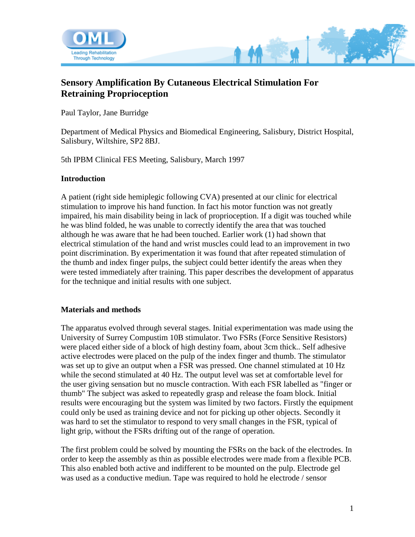

# **Sensory Amplification By Cutaneous Electrical Stimulation For Retraining Proprioception**

Paul Taylor, Jane Burridge

Department of Medical Physics and Biomedical Engineering, Salisbury, District Hospital, Salisbury, Wiltshire, SP2 8BJ.

5th IPBM Clinical FES Meeting, Salisbury, March 1997

#### **Introduction**

A patient (right side hemiplegic following CVA) presented at our clinic for electrical stimulation to improve his hand function. In fact his motor function was not greatly impaired, his main disability being in lack of proprioception. If a digit was touched while he was blind folded, he was unable to correctly identify the area that was touched although he was aware that he had been touched. Earlier work (1) had shown that electrical stimulation of the hand and wrist muscles could lead to an improvement in two point discrimination. By experimentation it was found that after repeated stimulation of the thumb and index finger pulps, the subject could better identify the areas when they were tested immediately after training. This paper describes the development of apparatus for the technique and initial results with one subject.

#### **Materials and methods**

The apparatus evolved through several stages. Initial experimentation was made using the University of Surrey Compustim 10B stimulator. Two FSRs (Force Sensitive Resistors) were placed either side of a block of high destiny foam, about 3cm thick.. Self adhesive active electrodes were placed on the pulp of the index finger and thumb. The stimulator was set up to give an output when a FSR was pressed. One channel stimulated at 10 Hz while the second stimulated at 40 Hz. The output level was set at comfortable level for the user giving sensation but no muscle contraction. With each FSR labelled as "finger or thumb" The subject was asked to repeatedly grasp and release the foam block. Initial results were encouraging but the system was limited by two factors. Firstly the equipment could only be used as training device and not for picking up other objects. Secondly it was hard to set the stimulator to respond to very small changes in the FSR, typical of light grip, without the FSRs drifting out of the range of operation.

The first problem could be solved by mounting the FSRs on the back of the electrodes. In order to keep the assembly as thin as possible electrodes were made from a flexible PCB. This also enabled both active and indifferent to be mounted on the pulp. Electrode gel was used as a conductive mediun. Tape was required to hold he electrode / sensor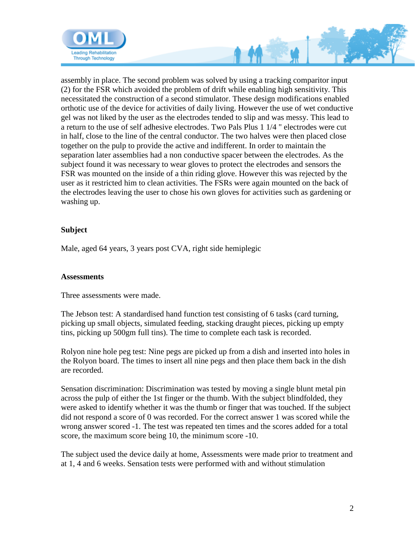

assembly in place. The second problem was solved by using a tracking comparitor input (2) for the FSR which avoided the problem of drift while enabling high sensitivity. This necessitated the construction of a second stimulator. These design modifications enabled orthotic use of the device for activities of daily living. However the use of wet conductive gel was not liked by the user as the electrodes tended to slip and was messy. This lead to a return to the use of self adhesive electrodes. Two Pals Plus 1 1/4 " electrodes were cut in half, close to the line of the central conductor. The two halves were then placed close together on the pulp to provide the active and indifferent. In order to maintain the separation later assemblies had a non conductive spacer between the electrodes. As the subject found it was necessary to wear gloves to protect the electrodes and sensors the FSR was mounted on the inside of a thin riding glove. However this was rejected by the user as it restricted him to clean activities. The FSRs were again mounted on the back of the electrodes leaving the user to chose his own gloves for activities such as gardening or washing up.

#### **Subject**

Male, aged 64 years, 3 years post CVA, right side hemiplegic

#### **Assessments**

Three assessments were made.

The Jebson test: A standardised hand function test consisting of 6 tasks (card turning, picking up small objects, simulated feeding, stacking draught pieces, picking up empty tins, picking up 500gm full tins). The time to complete each task is recorded.

Rolyon nine hole peg test: Nine pegs are picked up from a dish and inserted into holes in the Rolyon board. The times to insert all nine pegs and then place them back in the dish are recorded.

Sensation discrimination: Discrimination was tested by moving a single blunt metal pin across the pulp of either the 1st finger or the thumb. With the subject blindfolded, they were asked to identify whether it was the thumb or finger that was touched. If the subject did not respond a score of 0 was recorded. For the correct answer 1 was scored while the wrong answer scored -1. The test was repeated ten times and the scores added for a total score, the maximum score being 10, the minimum score -10.

The subject used the device daily at home, Assessments were made prior to treatment and at 1, 4 and 6 weeks. Sensation tests were performed with and without stimulation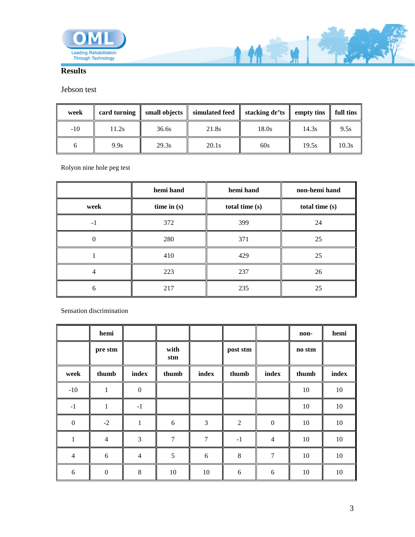

## **Results**

### Jebson test

| week  |       |       | card turning $\parallel$ small objects $\parallel$ simulated feed $\parallel$ | stacking dr'ts | $\parallel$ empty tins $\parallel$ full tins |       |
|-------|-------|-------|-------------------------------------------------------------------------------|----------------|----------------------------------------------|-------|
| $-10$ | 11.2s | 36.6s | 21.8s                                                                         | 18.0s          | 14.3s                                        | 9.5s  |
|       | 9.9s  | 29.3s | 20.1s                                                                         | 60s            | 19.5s                                        | 10.3s |

**AMEX** 

Rolyon nine hole peg test

|          | hemi hand     | hemi hand      | non-hemi hand  |  |
|----------|---------------|----------------|----------------|--|
| week     | time in $(s)$ | total time (s) | total time (s) |  |
| $-1$     | 372           | 399            | 24             |  |
| $\theta$ | 280           | 371            | 25             |  |
|          | 410           | 429            | 25             |  |
| 4        | 223           | 237            | 26             |  |
| 6        | 217           | 235            | 25             |  |

Sensation discrimination

|                  | hemi             |                |             |                |          |                | non-   | hemi  |
|------------------|------------------|----------------|-------------|----------------|----------|----------------|--------|-------|
|                  | pre stm          |                | with<br>stm |                | post stm |                | no stm |       |
| week             | thumb            | index          | thumb       | index          | thumb    | index          | thumb  | index |
| $-10$            | $\mathbf{1}$     | $\mathbf{0}$   |             |                |          |                | 10     | 10    |
| $-1$             | 1                | $-1$           |             |                |          |                | 10     | 10    |
| $\boldsymbol{0}$ | $-2$             | $\mathbf{1}$   | 6           | 3              | 2        | $\mathbf{0}$   | 10     | 10    |
| $\mathbf{1}$     | $\overline{4}$   | 3              | $\tau$      | $\overline{7}$ | $-1$     | $\overline{4}$ | 10     | 10    |
| $\overline{4}$   | 6                | $\overline{4}$ | 5           | 6              | 8        | $\overline{7}$ | 10     | 10    |
| 6                | $\boldsymbol{0}$ | 8              | 10          | 10             | 6        | 6              | 10     | 10    |